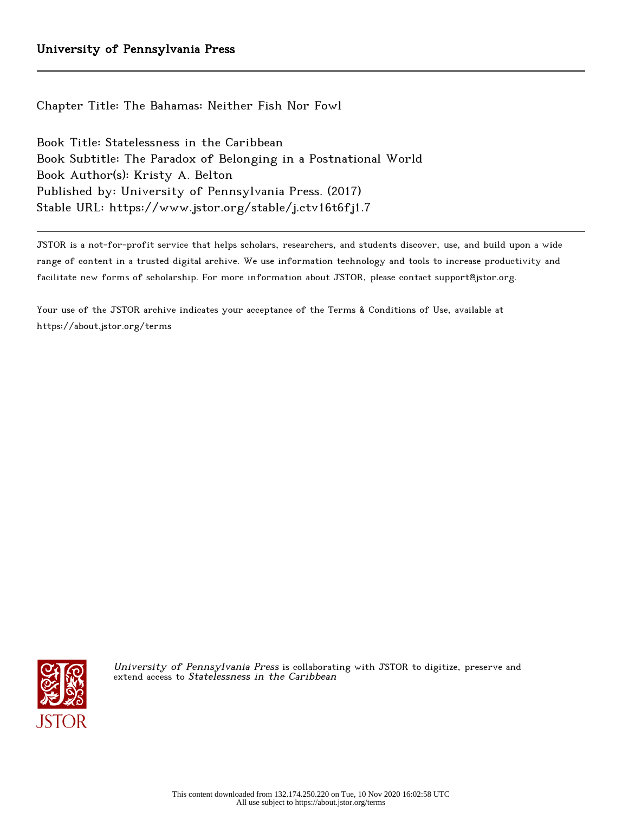Chapter Title: The Bahamas: Neither Fish Nor Fowl

Book Title: Statelessness in the Caribbean Book Subtitle: The Paradox of Belonging in a Postnational World Book Author(s): Kristy A. Belton Published by: University of Pennsylvania Press. (2017) Stable URL: https://www.jstor.org/stable/j.ctv16t6fj1.7

JSTOR is a not-for-profit service that helps scholars, researchers, and students discover, use, and build upon a wide range of content in a trusted digital archive. We use information technology and tools to increase productivity and facilitate new forms of scholarship. For more information about JSTOR, please contact support@jstor.org.

Your use of the JSTOR archive indicates your acceptance of the Terms & Conditions of Use, available at https://about.jstor.org/terms



University of Pennsylvania Press is collaborating with JSTOR to digitize, preserve and extend access to Statelessness in the Caribbean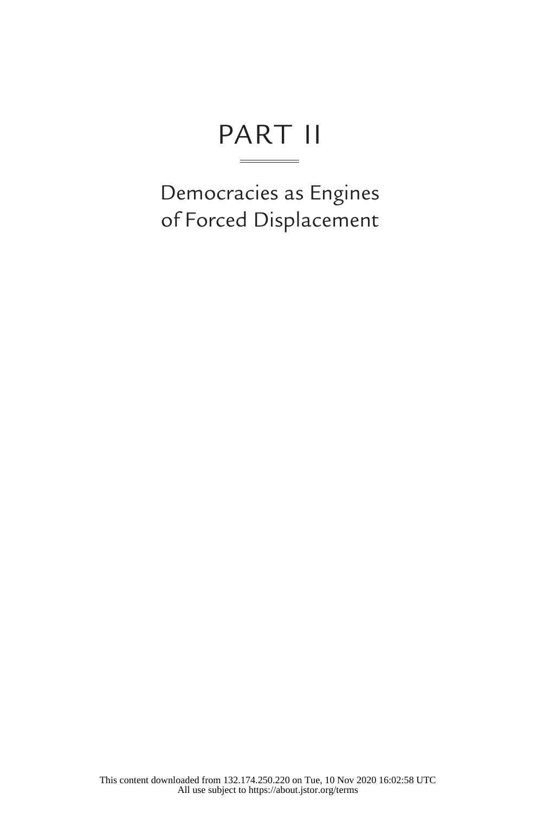# PART II

 $\equiv$ 

Democracies as Engines of Forced Displacement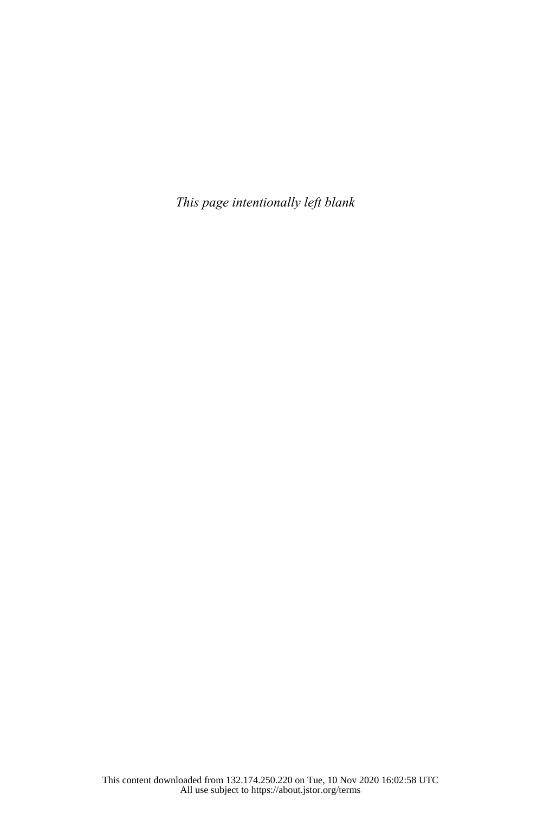*This page intentionally left blank*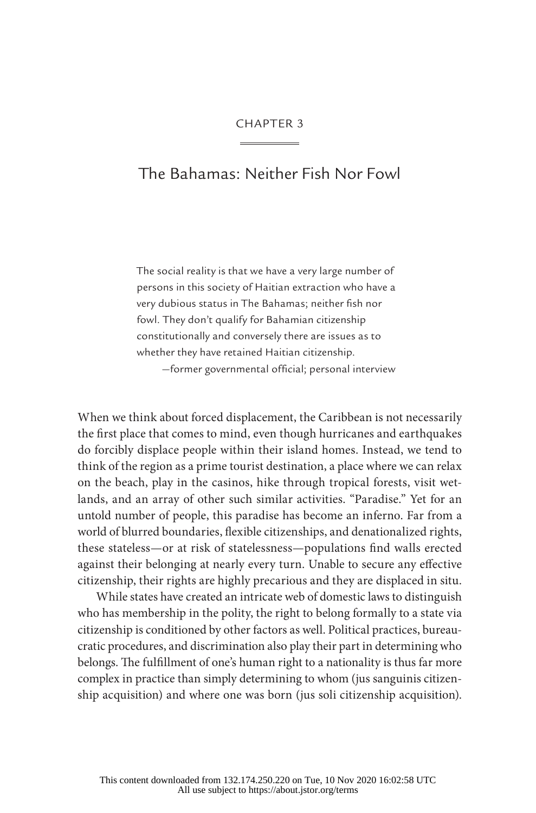# CHAPTER 3

# The Bahamas: Neither Fish Nor Fowl

The social reality is that we have a very large number of persons in this society of Haitian extraction who have a very dubious status in The Bahamas; neither fish nor fowl. They don't qualify for Bahamian citizenship constitutionally and conversely there are issues as to whether they have retained Haitian citizenship. —former governmental official; personal interview

When we think about forced displacement, the Caribbean is not necessarily the first place that comes to mind, even though hurricanes and earthquakes do forcibly displace people within their island homes. Instead, we tend to think of the region as a prime tourist destination, a place where we can relax on the beach, play in the casinos, hike through tropical forests, visit wetlands, and an array of other such similar activities. "Paradise." Yet for an untold number of people, this paradise has become an inferno. Far from a world of blurred boundaries, flexible citizenships, and denationalized rights, these stateless—or at risk of statelessness—populations find walls erected against their belonging at nearly every turn. Unable to secure any effective citizenship, their rights are highly precarious and they are displaced in situ.

While states have created an intricate web of domestic laws to distinguish who has membership in the polity, the right to belong formally to a state via citizenship is conditioned by other factors as well. Political practices, bureaucratic procedures, and discrimination also play their part in determining who belongs. The fulfillment of one's human right to a nationality is thus far more complex in practice than simply determining to whom (jus sanguinis citizenship acquisition) and where one was born (jus soli citizenship acquisition).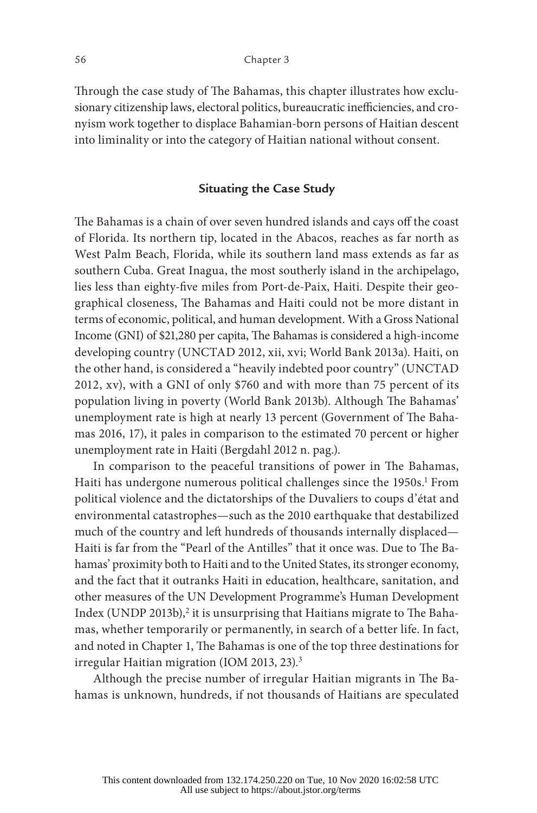Through the case study of The Bahamas, this chapter illustrates how exclusionary citizenship laws, electoral politics, bureaucratic inefficiencies, and cronyism work together to displace Bahamian-born persons of Haitian descent into liminality or into the category of Haitian national without consent.

# **Situating the Case Study**

The Bahamas is a chain of over seven hundred islands and cays off the coast of Florida. Its northern tip, located in the Abacos, reaches as far north as West Palm Beach, Florida, while its southern land mass extends as far as southern Cuba. Great Inagua, the most southerly island in the archipelago, lies less than eighty-five miles from Port-de-Paix, Haiti. Despite their geographical closeness, The Bahamas and Haiti could not be more distant in terms of economic, political, and human development. With a Gross National Income (GNI) of \$21,280 per capita, The Bahamas is considered a high-income developing country (UNCTAD 2012, xii, xvi; World Bank 2013a). Haiti, on the other hand, is considered a "heavily indebted poor country" (UNCTAD 2012, xv), with a GNI of only \$760 and with more than 75 percent of its population living in poverty (World Bank 2013b). Although The Bahamas' unemployment rate is high at nearly 13 percent (Government of The Bahamas 2016, 17), it pales in comparison to the estimated 70 percent or higher unemployment rate in Haiti (Bergdahl 2012 n. pag.).

In comparison to the peaceful transitions of power in The Bahamas, Haiti has undergone numerous political challenges since the 1950s.<sup>1</sup> From political violence and the dictatorships of the Duvaliers to coups d'état and environmental catastrophes—such as the 2010 earthquake that destabilized much of the country and left hundreds of thousands internally displaced— Haiti is far from the "Pearl of the Antilles" that it once was. Due to The Bahamas' proximity both to Haiti and to the United States, its stronger economy, and the fact that it outranks Haiti in education, healthcare, sanitation, and other measures of the UN Development Programme's Human Development Index (UNDP 2013b),<sup>2</sup> it is unsurprising that Haitians migrate to The Bahamas, whether temporarily or permanently, in search of a better life. In fact, and noted in Chapter 1, The Bahamas is one of the top three destinations for irregular Haitian migration (IOM 2013, 23).3

Although the precise number of irregular Haitian migrants in The Bahamas is unknown, hundreds, if not thousands of Haitians are speculated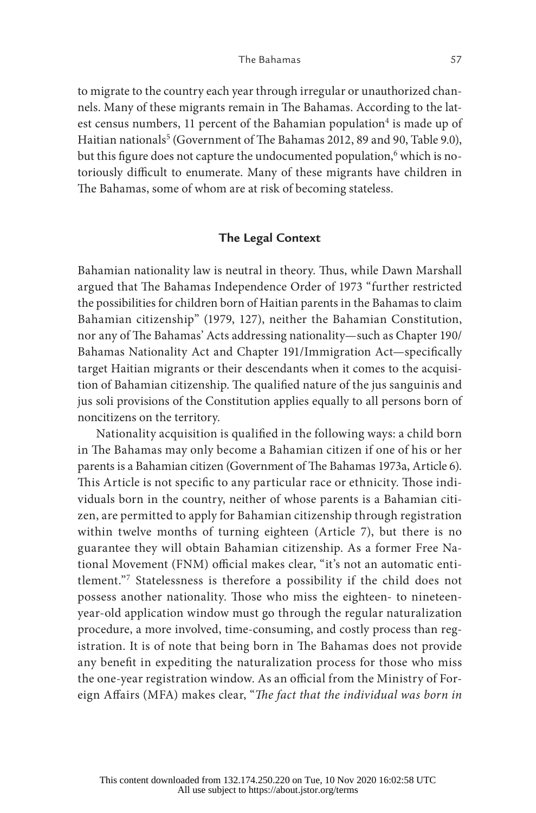to migrate to the country each year through irregular or unauthorized channels. Many of these migrants remain in The Bahamas. According to the latest census numbers, 11 percent of the Bahamian population<sup>4</sup> is made up of Haitian nationals<sup>5</sup> (Government of The Bahamas 2012, 89 and 90, Table 9.0), but this figure does not capture the undocumented population,<sup>6</sup> which is notoriously difficult to enumerate. Many of these migrants have children in The Bahamas, some of whom are at risk of becoming stateless.

# **The Legal Context**

Bahamian nationality law is neutral in theory. Thus, while Dawn Marshall argued that The Bahamas Independence Order of 1973 "further restricted the possibilities for children born of Haitian parents in the Bahamas to claim Bahamian citizenship" (1979, 127), neither the Bahamian Constitution, nor any of The Bahamas' Acts addressing nationality—such as Chapter 190/ Bahamas Nationality Act and Chapter 191/Immigration Act—specifically target Haitian migrants or their descendants when it comes to the acquisition of Bahamian citizenship. The qualified nature of the jus sanguinis and jus soli provisions of the Constitution applies equally to all persons born of noncitizens on the territory.

Nationality acquisition is qualified in the following ways: a child born in The Bahamas may only become a Bahamian citizen if one of his or her parents is a Bahamian citizen (Government of The Bahamas 1973a, Article 6). This Article is not specific to any particular race or ethnicity. Those individuals born in the country, neither of whose parents is a Bahamian citizen, are permitted to apply for Bahamian citizenship through registration within twelve months of turning eighteen (Article 7), but there is no guarantee they will obtain Bahamian citizenship. As a former Free National Movement (FNM) official makes clear, "it's not an automatic entitlement."7 Statelessness is therefore a possibility if the child does not possess another nationality. Those who miss the eighteen- to nineteenyear-old application window must go through the regular naturalization procedure, a more involved, time-consuming, and costly process than registration. It is of note that being born in The Bahamas does not provide any benefit in expediting the naturalization process for those who miss the one-year registration window. As an official from the Ministry of Foreign Affairs (MFA) makes clear, "*The fact that the individual was born in*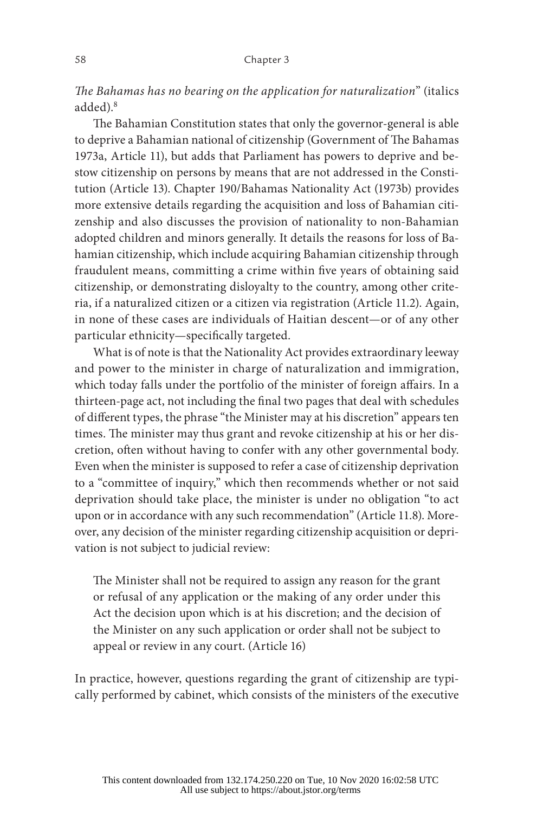*The Bahamas has no bearing on the application for naturalization*" (italics added).8

The Bahamian Constitution states that only the governor-general is able to deprive a Bahamian national of citizenship (Government of The Bahamas 1973a, Article 11), but adds that Parliament has powers to deprive and bestow citizenship on persons by means that are not addressed in the Constitution (Article 13). Chapter 190/Bahamas Nationality Act (1973b) provides more extensive details regarding the acquisition and loss of Bahamian citizenship and also discusses the provision of nationality to non-Bahamian adopted children and minors generally. It details the reasons for loss of Bahamian citizenship, which include acquiring Bahamian citizenship through fraudulent means, committing a crime within five years of obtaining said citizenship, or demonstrating disloyalty to the country, among other criteria, if a naturalized citizen or a citizen via registration (Article 11.2). Again, in none of these cases are individuals of Haitian descent—or of any other particular ethnicity—specifically targeted.

What is of note is that the Nationality Act provides extraordinary leeway and power to the minister in charge of naturalization and immigration, which today falls under the portfolio of the minister of foreign affairs. In a thirteen-page act, not including the final two pages that deal with schedules of different types, the phrase "the Minister may at his discretion" appears ten times. The minister may thus grant and revoke citizenship at his or her discretion, often without having to confer with any other governmental body. Even when the minister is supposed to refer a case of citizenship deprivation to a "committee of inquiry," which then recommends whether or not said deprivation should take place, the minister is under no obligation "to act upon or in accordance with any such recommendation" (Article 11.8). Moreover, any decision of the minister regarding citizenship acquisition or deprivation is not subject to judicial review:

The Minister shall not be required to assign any reason for the grant or refusal of any application or the making of any order under this Act the decision upon which is at his discretion; and the decision of the Minister on any such application or order shall not be subject to appeal or review in any court. (Article 16)

In practice, however, questions regarding the grant of citizenship are typically performed by cabinet, which consists of the ministers of the executive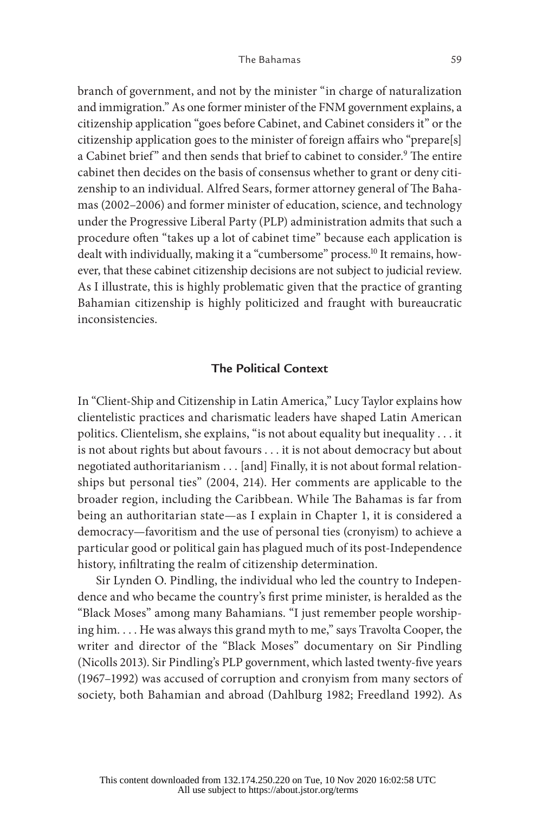branch of government, and not by the minister "in charge of naturalization and immigration." As one former minister of the FNM government explains, a citizenship application "goes before Cabinet, and Cabinet considers it" or the citizenship application goes to the minister of foreign affairs who "prepare[s] a Cabinet brief" and then sends that brief to cabinet to consider.9 The entire cabinet then decides on the basis of consensus whether to grant or deny citizenship to an individual. Alfred Sears, former attorney general of The Bahamas (2002–2006) and former minister of education, science, and technology under the Progressive Liberal Party (PLP) administration admits that such a procedure often "takes up a lot of cabinet time" because each application is dealt with individually, making it a "cumbersome" process.<sup>10</sup> It remains, however, that these cabinet citizenship decisions are not subject to judicial review. As I illustrate, this is highly problematic given that the practice of granting Bahamian citizenship is highly politicized and fraught with bureaucratic inconsistencies.

### **The Political Context**

In "Client-Ship and Citizenship in Latin America," Lucy Taylor explains how clientelistic practices and charismatic leaders have shaped Latin American politics. Clientelism, she explains, "is not about equality but inequality . . . it is not about rights but about favours . . . it is not about democracy but about negotiated authoritarianism . . . [and] Finally, it is not about formal relationships but personal ties" (2004, 214). Her comments are applicable to the broader region, including the Caribbean. While The Bahamas is far from being an authoritarian state—as I explain in Chapter 1, it is considered a democracy—favoritism and the use of personal ties (cronyism) to achieve a particular good or political gain has plagued much of its post-Independence history, infiltrating the realm of citizenship determination.

Sir Lynden O. Pindling, the individual who led the country to Independence and who became the country's first prime minister, is heralded as the "Black Moses" among many Bahamians. "I just remember people worshiping him. . . . He was always this grand myth to me," says Travolta Cooper, the writer and director of the "Black Moses" documentary on Sir Pindling (Nicolls 2013). Sir Pindling's PLP government, which lasted twenty-five years (1967–1992) was accused of corruption and cronyism from many sectors of society, both Bahamian and abroad (Dahlburg 1982; Freedland 1992). As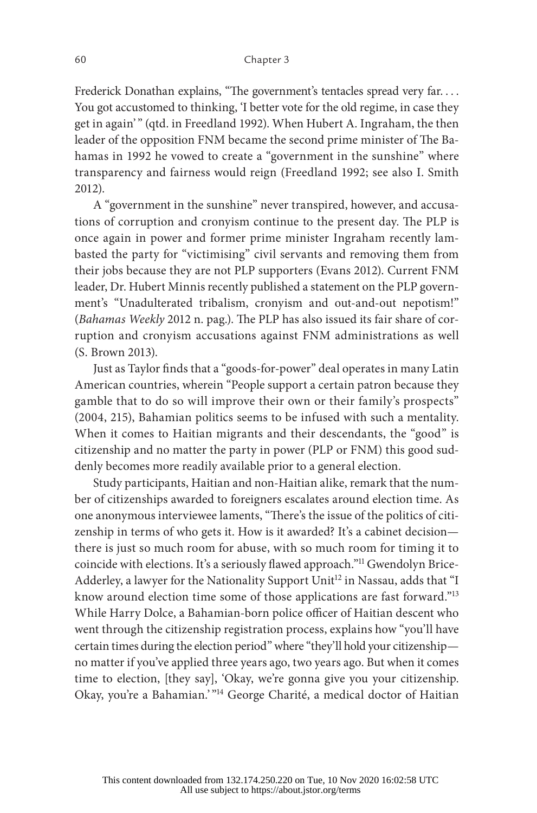Frederick Donathan explains, "The government's tentacles spread very far. . . . You got accustomed to thinking, 'I better vote for the old regime, in case they get in again'" (qtd. in Freedland 1992). When Hubert A. Ingraham, the then leader of the opposition FNM became the second prime minister of The Bahamas in 1992 he vowed to create a "government in the sunshine" where transparency and fairness would reign (Freedland 1992; see also I. Smith 2012).

A "government in the sunshine" never transpired, however, and accusations of corruption and cronyism continue to the present day. The PLP is once again in power and former prime minister Ingraham recently lambasted the party for "victimising" civil servants and removing them from their jobs because they are not PLP supporters (Evans 2012). Current FNM leader, Dr. Hubert Minnis recently published a statement on the PLP government's "Unadulterated tribalism, cronyism and out-and-out nepotism!" (*Bahamas Weekly* 2012 n. pag.). The PLP has also issued its fair share of corruption and cronyism accusations against FNM administrations as well (S. Brown 2013).

Just as Taylor finds that a "goods-for-power" deal operates in many Latin American countries, wherein "People support a certain patron because they gamble that to do so will improve their own or their family's prospects" (2004, 215), Bahamian politics seems to be infused with such a mentality. When it comes to Haitian migrants and their descendants, the "good" is citizenship and no matter the party in power (PLP or FNM) this good suddenly becomes more readily available prior to a general election.

Study participants, Haitian and non-Haitian alike, remark that the number of citizenships awarded to foreigners escalates around election time. As one anonymous interviewee laments, "There's the issue of the politics of citizenship in terms of who gets it. How is it awarded? It's a cabinet decision there is just so much room for abuse, with so much room for timing it to coincide with elections. It's a seriously flawed approach."11 Gwendolyn Brice-Adderley, a lawyer for the Nationality Support Unit<sup>12</sup> in Nassau, adds that "I know around election time some of those applications are fast forward."<sup>13</sup> While Harry Dolce, a Bahamian-born police officer of Haitian descent who went through the citizenship registration process, explains how "you'll have certain times during the election period" where "they'll hold your citizenship no matter if you've applied three years ago, two years ago. But when it comes time to election, [they say], 'Okay, we're gonna give you your citizenship. Okay, you're a Bahamian.' "14 George Charité, a medical doctor of Haitian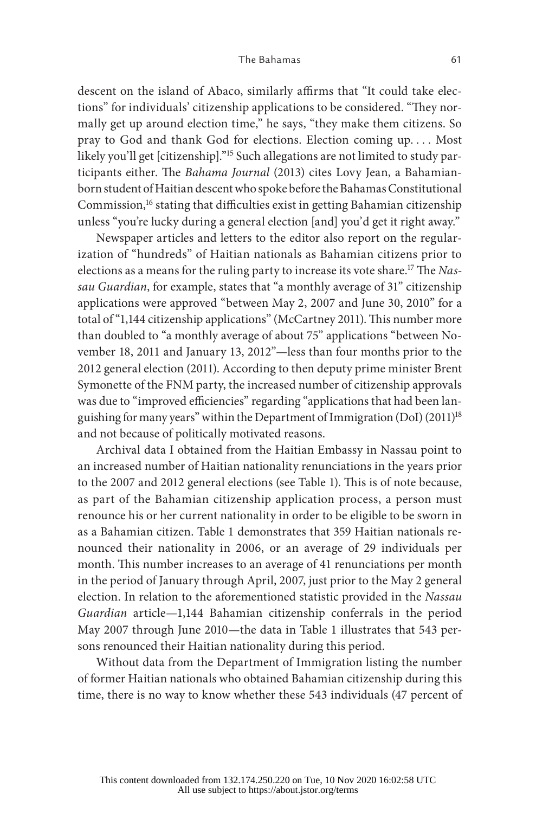#### The Bahamas 61

descent on the island of Abaco, similarly affirms that "It could take elections" for individuals' citizenship applications to be considered. "They normally get up around election time," he says, "they make them citizens. So pray to God and thank God for elections. Election coming up. . . . Most likely you'll get [citizenship]."<sup>15</sup> Such allegations are not limited to study participants either. The *Bahama Journal* (2013) cites Lovy Jean, a Bahamianborn student of Haitian descent who spoke before the Bahamas Constitutional Commission,<sup>16</sup> stating that difficulties exist in getting Bahamian citizenship unless "you're lucky during a general election [and] you'd get it right away."

Newspaper articles and letters to the editor also report on the regularization of "hundreds" of Haitian nationals as Bahamian citizens prior to elections as a means for the ruling party to increase its vote share.17 The *Nassau Guardian*, for example, states that "a monthly average of 31" citizenship applications were approved "between May 2, 2007 and June 30, 2010" for a total of "1,144 citizenship applications" (McCartney 2011). This number more than doubled to "a monthly average of about 75" applications "between November 18, 2011 and January 13, 2012"—less than four months prior to the 2012 general election (2011). According to then deputy prime minister Brent Symonette of the FNM party, the increased number of citizenship approvals was due to "improved efficiencies" regarding "applications that had been languishing for many years" within the Department of Immigration (DoI) (2011)18 and not because of politically motivated reasons.

Archival data I obtained from the Haitian Embassy in Nassau point to an increased number of Haitian nationality renunciations in the years prior to the 2007 and 2012 general elections (see Table 1). This is of note because, as part of the Bahamian citizenship application process, a person must renounce his or her current nationality in order to be eligible to be sworn in as a Bahamian citizen. Table 1 demonstrates that 359 Haitian nationals renounced their nationality in 2006, or an average of 29 individuals per month. This number increases to an average of 41 renunciations per month in the period of January through April, 2007, just prior to the May 2 general election. In relation to the aforementioned statistic provided in the *Nassau Guardian* article—1,144 Bahamian citizenship conferrals in the period May 2007 through June 2010—the data in Table 1 illustrates that 543 persons renounced their Haitian nationality during this period.

Without data from the Department of Immigration listing the number of former Haitian nationals who obtained Bahamian citizenship during this time, there is no way to know whether these 543 individuals (47 percent of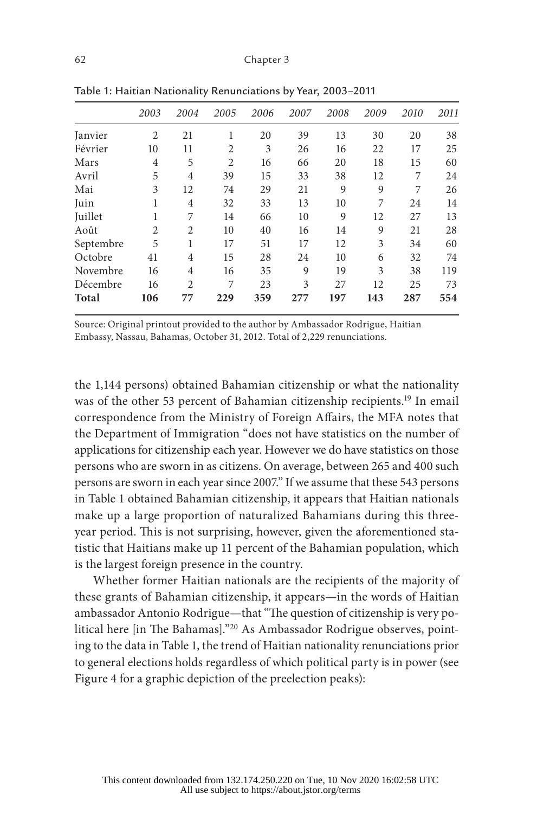| 2005<br>2009<br>2003<br>2004<br>2006<br>2007<br>2008<br>2<br>21<br>1<br>20<br>39<br>13<br>30<br>Janvier<br>Février<br>$\overline{2}$<br>3<br>10<br>11<br>16<br>22<br>26<br>5<br>$\overline{2}$<br>Mars<br>66<br>20<br>18<br>4<br>16<br>5<br>39<br>33<br>38<br>12<br>Avril<br>$\overline{4}$<br>15<br>3<br>12<br>9<br>9<br>Mai<br>74<br>29<br>21<br>7<br>13<br>1<br>$\overline{4}$<br>32<br>33<br>10<br>Juin<br>Juillet<br>7<br>9<br>1<br>14<br>66<br>10<br>12<br>$\overline{2}$<br>$\overline{2}$<br>Août<br>10<br>40<br>14<br>9<br>16<br>5<br>3<br>17<br>12<br>1<br>51<br>17<br>Septembre<br>Octobre<br>$\overline{4}$<br>15<br>28<br>10<br>24<br>41<br>6<br>3<br>9<br>19<br>Novembre<br>16<br>$\overline{4}$<br>16<br>35<br>Décembre<br>7<br>$\overline{2}$<br>3<br>27<br>16<br>23<br>12<br>77<br>359<br>197<br><b>Total</b><br>106<br>229<br>277<br>143 |  |  |  |  |      |      |
|------------------------------------------------------------------------------------------------------------------------------------------------------------------------------------------------------------------------------------------------------------------------------------------------------------------------------------------------------------------------------------------------------------------------------------------------------------------------------------------------------------------------------------------------------------------------------------------------------------------------------------------------------------------------------------------------------------------------------------------------------------------------------------------------------------------------------------------------------------|--|--|--|--|------|------|
|                                                                                                                                                                                                                                                                                                                                                                                                                                                                                                                                                                                                                                                                                                                                                                                                                                                            |  |  |  |  | 2010 | 2011 |
|                                                                                                                                                                                                                                                                                                                                                                                                                                                                                                                                                                                                                                                                                                                                                                                                                                                            |  |  |  |  | 20   | 38   |
|                                                                                                                                                                                                                                                                                                                                                                                                                                                                                                                                                                                                                                                                                                                                                                                                                                                            |  |  |  |  | 17   | 25   |
|                                                                                                                                                                                                                                                                                                                                                                                                                                                                                                                                                                                                                                                                                                                                                                                                                                                            |  |  |  |  | 15   | 60   |
|                                                                                                                                                                                                                                                                                                                                                                                                                                                                                                                                                                                                                                                                                                                                                                                                                                                            |  |  |  |  | 7    | 24   |
|                                                                                                                                                                                                                                                                                                                                                                                                                                                                                                                                                                                                                                                                                                                                                                                                                                                            |  |  |  |  | 7    | 26   |
|                                                                                                                                                                                                                                                                                                                                                                                                                                                                                                                                                                                                                                                                                                                                                                                                                                                            |  |  |  |  | 24   | 14   |
|                                                                                                                                                                                                                                                                                                                                                                                                                                                                                                                                                                                                                                                                                                                                                                                                                                                            |  |  |  |  | 27   | 13   |
|                                                                                                                                                                                                                                                                                                                                                                                                                                                                                                                                                                                                                                                                                                                                                                                                                                                            |  |  |  |  | 21   | 28   |
|                                                                                                                                                                                                                                                                                                                                                                                                                                                                                                                                                                                                                                                                                                                                                                                                                                                            |  |  |  |  | 34   | 60   |
|                                                                                                                                                                                                                                                                                                                                                                                                                                                                                                                                                                                                                                                                                                                                                                                                                                                            |  |  |  |  | 32   | 74   |
|                                                                                                                                                                                                                                                                                                                                                                                                                                                                                                                                                                                                                                                                                                                                                                                                                                                            |  |  |  |  | 38   | 119  |
|                                                                                                                                                                                                                                                                                                                                                                                                                                                                                                                                                                                                                                                                                                                                                                                                                                                            |  |  |  |  | 25   | 73   |
|                                                                                                                                                                                                                                                                                                                                                                                                                                                                                                                                                                                                                                                                                                                                                                                                                                                            |  |  |  |  | 287  | 554  |

Table 1: Haitian Nationality Renunciations by Year, 2003–2011

Source: Original printout provided to the author by Ambassador Rodrigue, Haitian Embassy, Nassau, Bahamas, October 31, 2012. Total of 2,229 renunciations.

the 1,144 persons) obtained Bahamian citizenship or what the nationality was of the other 53 percent of Bahamian citizenship recipients.<sup>19</sup> In email correspondence from the Ministry of Foreign Affairs, the MFA notes that the Department of Immigration "does not have statistics on the number of applications for citizenship each year. However we do have statistics on those persons who are sworn in as citizens. On average, between 265 and 400 such persons are sworn in each year since 2007." If we assume that these 543 persons in Table 1 obtained Bahamian citizenship, it appears that Haitian nationals make up a large proportion of naturalized Bahamians during this threeyear period. This is not surprising, however, given the aforementioned statistic that Haitians make up 11 percent of the Bahamian population, which is the largest foreign presence in the country.

Whether former Haitian nationals are the recipients of the majority of these grants of Bahamian citizenship, it appears—in the words of Haitian ambassador Antonio Rodrigue—that "The question of citizenship is very political here [in The Bahamas]."20 As Ambassador Rodrigue observes, pointing to the data in Table 1, the trend of Haitian nationality renunciations prior to general elections holds regardless of which political party is in power (see Figure 4 for a graphic depiction of the preelection peaks):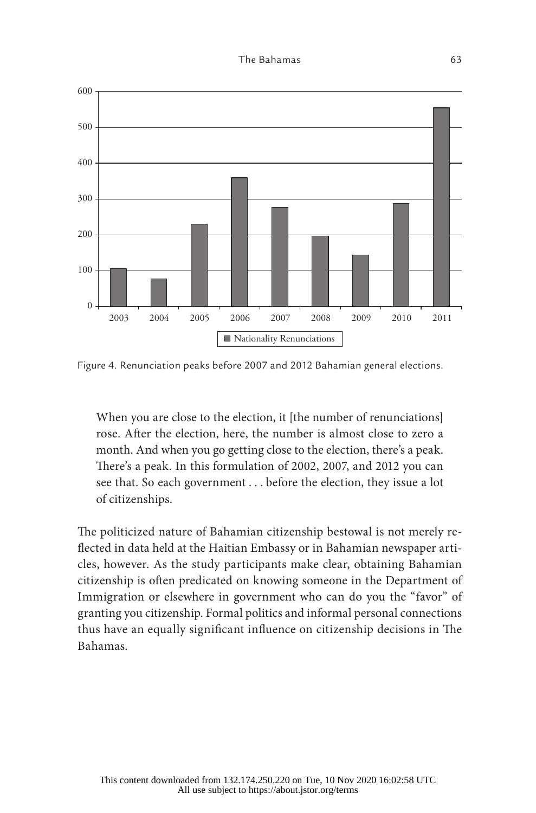

Figure 4. Renunciation peaks before 2007 and 2012 Bahamian general elections.

When you are close to the election, it [the number of renunciations] rose. After the election, here, the number is almost close to zero a month. And when you go getting close to the election, there's a peak. There's a peak. In this formulation of 2002, 2007, and 2012 you can see that. So each government . . . before the election, they issue a lot of citizenships.

The politicized nature of Bahamian citizenship bestowal is not merely reflected in data held at the Haitian Embassy or in Bahamian newspaper articles, however. As the study participants make clear, obtaining Bahamian citizenship is often predicated on knowing someone in the Department of Immigration or elsewhere in government who can do you the "favor" of granting you citizenship. Formal politics and informal personal connections thus have an equally significant influence on citizenship decisions in The Bahamas.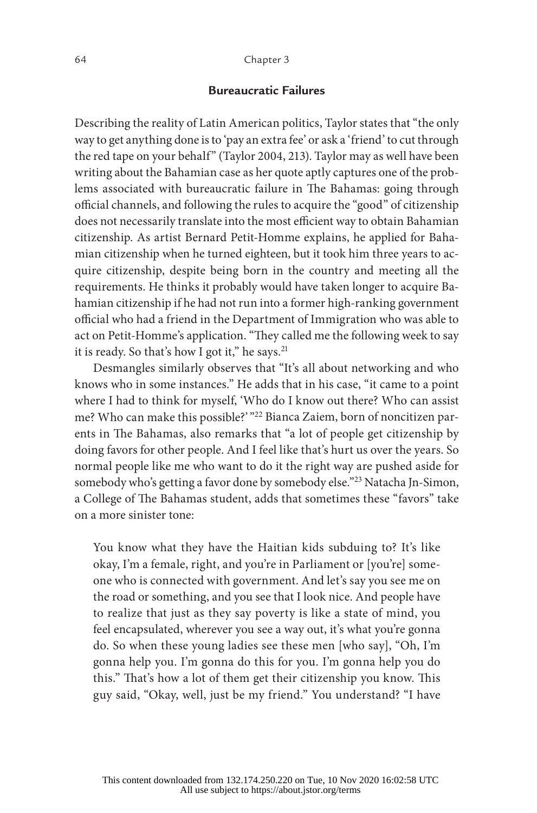### **Bureaucratic Failures**

Describing the reality of Latin American politics, Taylor states that "the only way to get anything done is to 'pay an extra fee' or ask a 'friend' to cut through the red tape on your behalf" (Taylor 2004, 213). Taylor may as well have been writing about the Bahamian case as her quote aptly captures one of the problems associated with bureaucratic failure in The Bahamas: going through official channels, and following the rules to acquire the "good" of citizenship does not necessarily translate into the most efficient way to obtain Bahamian citizenship. As artist Bernard Petit-Homme explains, he applied for Bahamian citizenship when he turned eighteen, but it took him three years to acquire citizenship, despite being born in the country and meeting all the requirements. He thinks it probably would have taken longer to acquire Bahamian citizenship if he had not run into a former high-ranking government official who had a friend in the Department of Immigration who was able to act on Petit-Homme's application. "They called me the following week to say it is ready. So that's how I got it," he says. $21$ 

Desmangles similarly observes that "It's all about networking and who knows who in some instances." He adds that in his case, "it came to a point where I had to think for myself, 'Who do I know out there? Who can assist me? Who can make this possible?' "22 Bianca Zaiem, born of noncitizen parents in The Bahamas, also remarks that "a lot of people get citizenship by doing favors for other people. And I feel like that's hurt us over the years. So normal people like me who want to do it the right way are pushed aside for somebody who's getting a favor done by somebody else."<sup>23</sup> Natacha Jn-Simon, a College of The Bahamas student, adds that sometimes these "favors" take on a more sinister tone:

You know what they have the Haitian kids subduing to? It's like okay, I'm a female, right, and you're in Parliament or [you're] someone who is connected with government. And let's say you see me on the road or something, and you see that I look nice. And people have to realize that just as they say poverty is like a state of mind, you feel encapsulated, wherever you see a way out, it's what you're gonna do. So when these young ladies see these men [who say], "Oh, I'm gonna help you. I'm gonna do this for you. I'm gonna help you do this." That's how a lot of them get their citizenship you know. This guy said, "Okay, well, just be my friend." You understand? "I have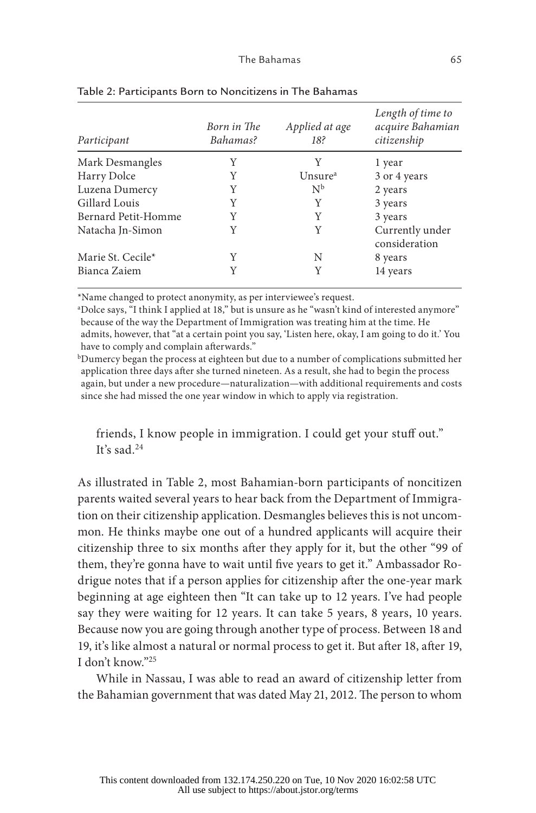| Participant         | Born in The<br>Bahamas? | Applied at age<br>18? | Length of time to<br>acquire Bahamian<br>citizenship |
|---------------------|-------------------------|-----------------------|------------------------------------------------------|
| Mark Desmangles     | Y                       | Y                     | 1 year                                               |
| Harry Dolce         | Y                       | Unsure <sup>a</sup>   | 3 or 4 years                                         |
| Luzena Dumercy      | Y                       | N <sub>b</sub>        | 2 years                                              |
| Gillard Louis       | Y                       | Y                     | 3 years                                              |
| Bernard Petit-Homme | Y                       | Y                     | 3 years                                              |
| Natacha Jn-Simon    | Y                       | Y                     | Currently under<br>consideration                     |
| Marie St. Cecile*   | Y                       | N                     | 8 years                                              |
| Bianca Zaiem        | Y                       | Y                     | 14 years                                             |

#### Table 2: Participants Born to Noncitizens in The Bahamas

\*Name changed to protect anonymity, as per interviewee's request.

a Dolce says, "I think I applied at 18," but is unsure as he "wasn't kind of interested anymore" because of the way the Department of Immigration was treating him at the time. He admits, however, that "at a certain point you say, 'Listen here, okay, I am going to do it.' You have to comply and complain afterwards."

**bDumercy began the process at eighteen but due to a number of complications submitted her** application three days after she turned nineteen. As a result, she had to begin the process again, but under a new procedure—naturalization—with additional requirements and costs since she had missed the one year window in which to apply via registration.

friends, I know people in immigration. I could get your stuff out." It's sad. $^{24}$ 

As illustrated in Table 2, most Bahamian-born participants of noncitizen parents waited several years to hear back from the Department of Immigration on their citizenship application. Desmangles believes this is not uncommon. He thinks maybe one out of a hundred applicants will acquire their citizenship three to six months after they apply for it, but the other "99 of them, they're gonna have to wait until five years to get it." Ambassador Rodrigue notes that if a person applies for citizenship after the one-year mark beginning at age eighteen then "It can take up to 12 years. I've had people say they were waiting for 12 years. It can take 5 years, 8 years, 10 years. Because now you are going through another type of process. Between 18 and 19, it's like almost a natural or normal process to get it. But after 18, after 19, I don't know."25

While in Nassau, I was able to read an award of citizenship letter from the Bahamian government that was dated May 21, 2012. The person to whom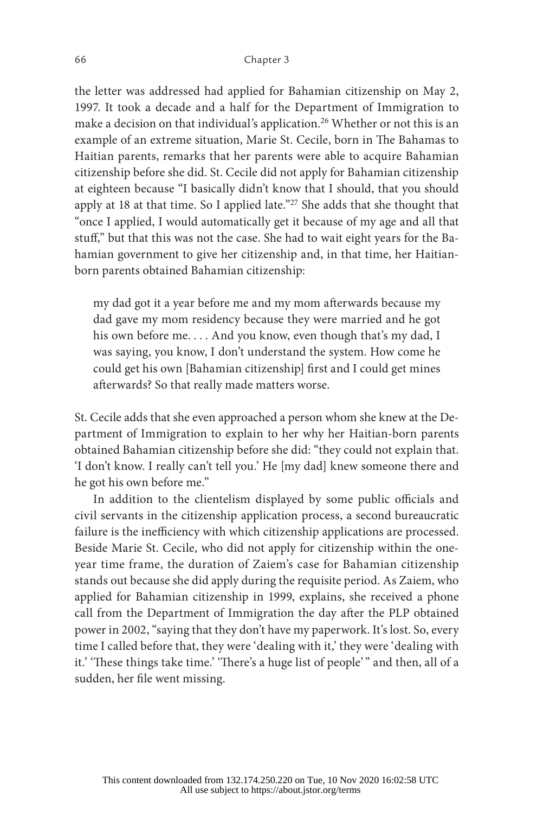the letter was addressed had applied for Bahamian citizenship on May 2, 1997. It took a decade and a half for the Department of Immigration to make a decision on that individual's application.26 Whether or not this is an example of an extreme situation, Marie St. Cecile, born in The Bahamas to Haitian parents, remarks that her parents were able to acquire Bahamian citizenship before she did. St. Cecile did not apply for Bahamian citizenship at eighteen because "I basically didn't know that I should, that you should apply at 18 at that time. So I applied late."<sup>27</sup> She adds that she thought that "once I applied, I would automatically get it because of my age and all that stuff," but that this was not the case. She had to wait eight years for the Bahamian government to give her citizenship and, in that time, her Haitianborn parents obtained Bahamian citizenship:

my dad got it a year before me and my mom afterwards because my dad gave my mom residency because they were married and he got his own before me.... And you know, even though that's my dad, I was saying, you know, I don't understand the system. How come he could get his own [Bahamian citizenship] first and I could get mines afterwards? So that really made matters worse.

St. Cecile adds that she even approached a person whom she knew at the Department of Immigration to explain to her why her Haitian-born parents obtained Bahamian citizenship before she did: "they could not explain that. 'I don't know. I really can't tell you.' He [my dad] knew someone there and he got his own before me."

In addition to the clientelism displayed by some public officials and civil servants in the citizenship application process, a second bureaucratic failure is the inefficiency with which citizenship applications are processed. Beside Marie St. Cecile, who did not apply for citizenship within the oneyear time frame, the duration of Zaiem's case for Bahamian citizenship stands out because she did apply during the requisite period. As Zaiem, who applied for Bahamian citizenship in 1999, explains, she received a phone call from the Department of Immigration the day after the PLP obtained power in 2002, "saying that they don't have my paperwork. It's lost. So, every time I called before that, they were 'dealing with it,' they were 'dealing with it.' 'These things take time.' 'There's a huge list of people' " and then, all of a sudden, her file went missing.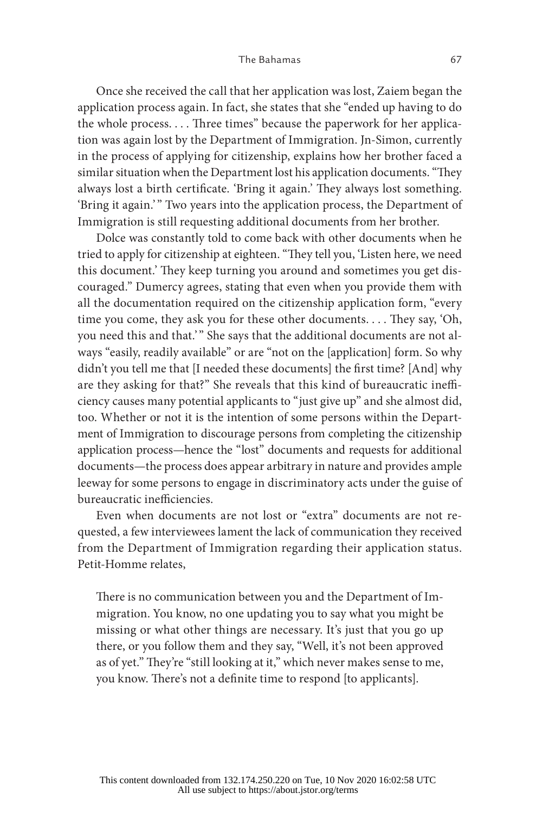#### The Bahamas 67

Once she received the call that her application was lost, Zaiem began the application process again. In fact, she states that she "ended up having to do the whole process. . . . Three times" because the paperwork for her application was again lost by the Department of Immigration. Jn-Simon, currently in the process of applying for citizenship, explains how her brother faced a similar situation when the Department lost his application documents. "They always lost a birth certificate. 'Bring it again.' They always lost something. 'Bring it again.'" Two years into the application process, the Department of Immigration is still requesting additional documents from her brother.

Dolce was constantly told to come back with other documents when he tried to apply for citizenship at eighteen. "They tell you, 'Listen here, we need this document.' They keep turning you around and sometimes you get discouraged." Dumercy agrees, stating that even when you provide them with all the documentation required on the citizenship application form, "every time you come, they ask you for these other documents. . . . They say, 'Oh, you need this and that.'" She says that the additional documents are not always "easily, readily available" or are "not on the [application] form. So why didn't you tell me that [I needed these documents] the first time? [And] why are they asking for that?" She reveals that this kind of bureaucratic inefficiency causes many potential applicants to "just give up" and she almost did, too. Whether or not it is the intention of some persons within the Department of Immigration to discourage persons from completing the citizenship application process—hence the "lost" documents and requests for additional documents—the process does appear arbitrary in nature and provides ample leeway for some persons to engage in discriminatory acts under the guise of bureaucratic inefficiencies.

Even when documents are not lost or "extra" documents are not requested, a few interviewees lament the lack of communication they received from the Department of Immigration regarding their application status. Petit-Homme relates,

There is no communication between you and the Department of Immigration. You know, no one updating you to say what you might be missing or what other things are necessary. It's just that you go up there, or you follow them and they say, "Well, it's not been approved as of yet." They're "still looking at it," which never makes sense to me, you know. There's not a definite time to respond [to applicants].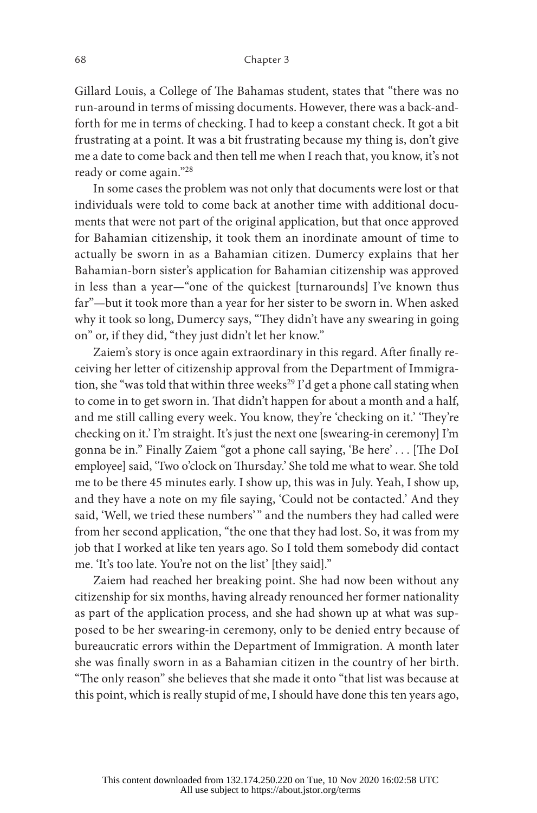Gillard Louis, a College of The Bahamas student, states that "there was no run-around in terms of missing documents. However, there was a back-andforth for me in terms of checking. I had to keep a constant check. It got a bit frustrating at a point. It was a bit frustrating because my thing is, don't give me a date to come back and then tell me when I reach that, you know, it's not ready or come again."28

In some cases the problem was not only that documents were lost or that individuals were told to come back at another time with additional documents that were not part of the original application, but that once approved for Bahamian citizenship, it took them an inordinate amount of time to actually be sworn in as a Bahamian citizen. Dumercy explains that her Bahamian-born sister's application for Bahamian citizenship was approved in less than a year—"one of the quickest [turnarounds] I've known thus far"—but it took more than a year for her sister to be sworn in. When asked why it took so long, Dumercy says, "They didn't have any swearing in going on" or, if they did, "they just didn't let her know."

Zaiem's story is once again extraordinary in this regard. After finally receiving her letter of citizenship approval from the Department of Immigration, she "was told that within three weeks<sup>29</sup> I'd get a phone call stating when to come in to get sworn in. That didn't happen for about a month and a half, and me still calling every week. You know, they're 'checking on it.' 'They're checking on it.' I'm straight. It's just the next one [swearing-in ceremony] I'm gonna be in." Finally Zaiem "got a phone call saying, 'Be here' . . . [The DoI employee] said, 'Two o'clock on Thursday.' She told me what to wear. She told me to be there 45 minutes early. I show up, this was in July. Yeah, I show up, and they have a note on my file saying, 'Could not be contacted.' And they said, 'Well, we tried these numbers'" and the numbers they had called were from her second application, "the one that they had lost. So, it was from my job that I worked at like ten years ago. So I told them somebody did contact me. 'It's too late. You're not on the list' [they said]."

Zaiem had reached her breaking point. She had now been without any citizenship for six months, having already renounced her former nationality as part of the application process, and she had shown up at what was supposed to be her swearing-in ceremony, only to be denied entry because of bureaucratic errors within the Department of Immigration. A month later she was finally sworn in as a Bahamian citizen in the country of her birth. "The only reason" she believes that she made it onto "that list was because at this point, which is really stupid of me, I should have done this ten years ago,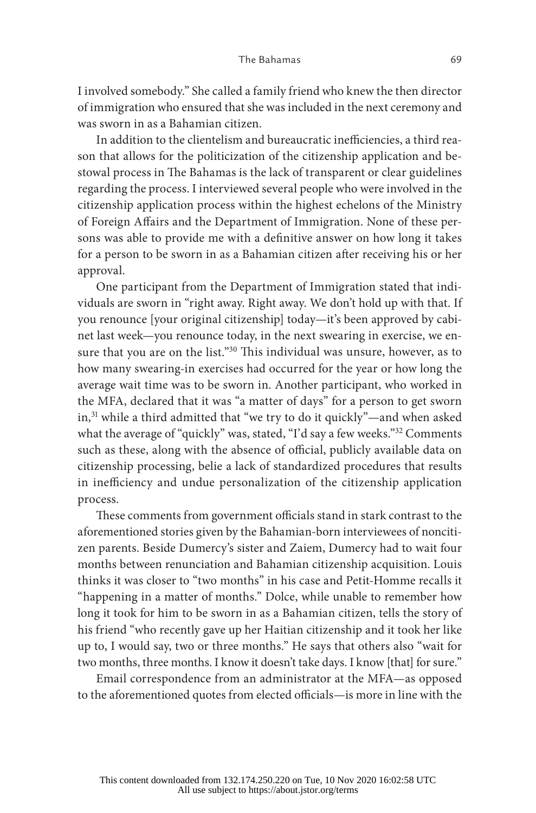I involved somebody." She called a family friend who knew the then director of immigration who ensured that she was included in the next ceremony and was sworn in as a Bahamian citizen.

In addition to the clientelism and bureaucratic inefficiencies, a third reason that allows for the politicization of the citizenship application and bestowal process in The Bahamas is the lack of transparent or clear guidelines regarding the process. I interviewed several people who were involved in the citizenship application process within the highest echelons of the Ministry of Foreign Affairs and the Department of Immigration. None of these persons was able to provide me with a definitive answer on how long it takes for a person to be sworn in as a Bahamian citizen after receiving his or her approval.

One participant from the Department of Immigration stated that individuals are sworn in "right away. Right away. We don't hold up with that. If you renounce [your original citizenship] today—it's been approved by cabinet last week—you renounce today, in the next swearing in exercise, we ensure that you are on the list."<sup>30</sup> This individual was unsure, however, as to how many swearing-in exercises had occurred for the year or how long the average wait time was to be sworn in. Another participant, who worked in the MFA, declared that it was "a matter of days" for a person to get sworn in,31 while a third admitted that "we try to do it quickly"—and when asked what the average of "quickly" was, stated, "I'd say a few weeks."<sup>32</sup> Comments such as these, along with the absence of official, publicly available data on citizenship processing, belie a lack of standardized procedures that results in inefficiency and undue personalization of the citizenship application process.

These comments from government officials stand in stark contrast to the aforementioned stories given by the Bahamian-born interviewees of noncitizen parents. Beside Dumercy's sister and Zaiem, Dumercy had to wait four months between renunciation and Bahamian citizenship acquisition. Louis thinks it was closer to "two months" in his case and Petit-Homme recalls it "happening in a matter of months." Dolce, while unable to remember how long it took for him to be sworn in as a Bahamian citizen, tells the story of his friend "who recently gave up her Haitian citizenship and it took her like up to, I would say, two or three months." He says that others also "wait for two months, three months. I know it doesn't take days. I know [that] for sure."

Email correspondence from an administrator at the MFA—as opposed to the aforementioned quotes from elected officials—is more in line with the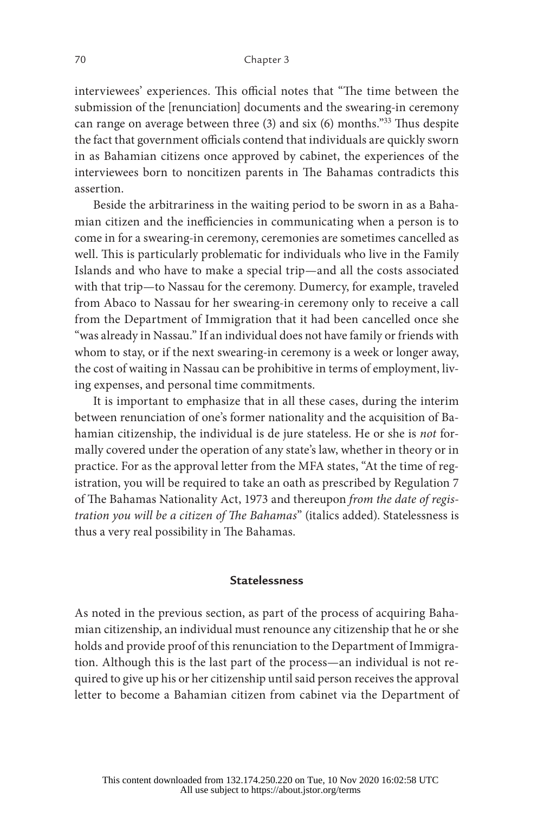interviewees' experiences. This official notes that "The time between the submission of the [renunciation] documents and the swearing-in ceremony can range on average between three (3) and six (6) months."33 Thus despite the fact that government officials contend that individuals are quickly sworn in as Bahamian citizens once approved by cabinet, the experiences of the interviewees born to noncitizen parents in The Bahamas contradicts this assertion.

Beside the arbitrariness in the waiting period to be sworn in as a Bahamian citizen and the inefficiencies in communicating when a person is to come in for a swearing-in ceremony, ceremonies are sometimes cancelled as well. This is particularly problematic for individuals who live in the Family Islands and who have to make a special trip—and all the costs associated with that trip—to Nassau for the ceremony. Dumercy, for example, traveled from Abaco to Nassau for her swearing-in ceremony only to receive a call from the Department of Immigration that it had been cancelled once she "was already in Nassau." If an individual does not have family or friends with whom to stay, or if the next swearing-in ceremony is a week or longer away, the cost of waiting in Nassau can be prohibitive in terms of employment, living expenses, and personal time commitments.

It is important to emphasize that in all these cases, during the interim between renunciation of one's former nationality and the acquisition of Bahamian citizenship, the individual is de jure stateless. He or she is *not* formally covered under the operation of any state's law, whether in theory or in practice. For as the approval letter from the MFA states, "At the time of registration, you will be required to take an oath as prescribed by Regulation 7 of The Bahamas Nationality Act, 1973 and thereupon *from the date of registration you will be a citizen of The Bahamas*" (italics added). Statelessness is thus a very real possibility in The Bahamas.

#### **Statelessness**

As noted in the previous section, as part of the process of acquiring Bahamian citizenship, an individual must renounce any citizenship that he or she holds and provide proof of this renunciation to the Department of Immigration. Although this is the last part of the process—an individual is not required to give up his or her citizenship until said person receives the approval letter to become a Bahamian citizen from cabinet via the Department of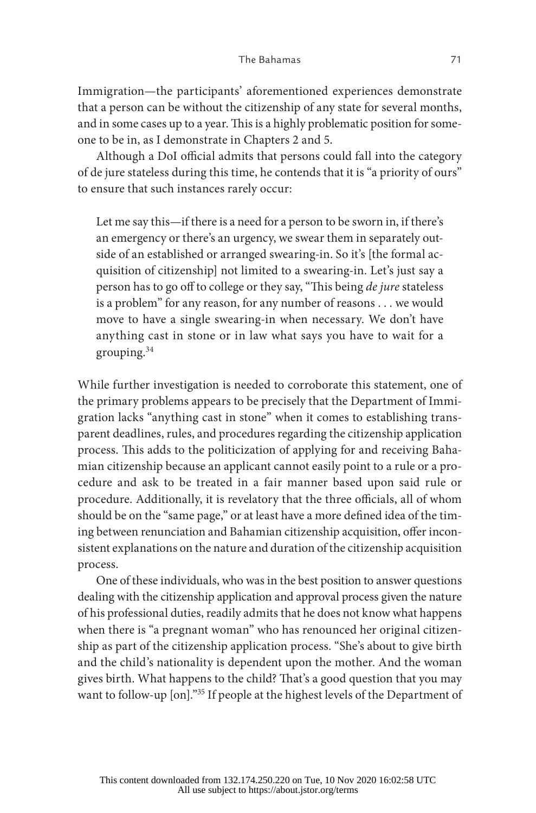Immigration—the participants' aforementioned experiences demonstrate that a person can be without the citizenship of any state for several months, and in some cases up to a year. This is a highly problematic position for someone to be in, as I demonstrate in Chapters 2 and 5.

Although a DoI official admits that persons could fall into the category of de jure stateless during this time, he contends that it is "a priority of ours" to ensure that such instances rarely occur:

Let me say this—if there is a need for a person to be sworn in, if there's an emergency or there's an urgency, we swear them in separately outside of an established or arranged swearing-in. So it's [the formal acquisition of citizenship] not limited to a swearing-in. Let's just say a person has to go off to college or they say, "This being *de jure* stateless is a problem" for any reason, for any number of reasons . . . we would move to have a single swearing-in when necessary. We don't have anything cast in stone or in law what says you have to wait for a grouping. $34$ 

While further investigation is needed to corroborate this statement, one of the primary problems appears to be precisely that the Department of Immigration lacks "anything cast in stone" when it comes to establishing transparent deadlines, rules, and procedures regarding the citizenship application process. This adds to the politicization of applying for and receiving Bahamian citizenship because an applicant cannot easily point to a rule or a procedure and ask to be treated in a fair manner based upon said rule or procedure. Additionally, it is revelatory that the three officials, all of whom should be on the "same page," or at least have a more defined idea of the timing between renunciation and Bahamian citizenship acquisition, offer inconsistent explanations on the nature and duration of the citizenship acquisition process.

One of these individuals, who was in the best position to answer questions dealing with the citizenship application and approval process given the nature of his professional duties, readily admits that he does not know what happens when there is "a pregnant woman" who has renounced her original citizenship as part of the citizenship application process. "She's about to give birth and the child's nationality is dependent upon the mother. And the woman gives birth. What happens to the child? That's a good question that you may want to follow-up [on]."35 If people at the highest levels of the Department of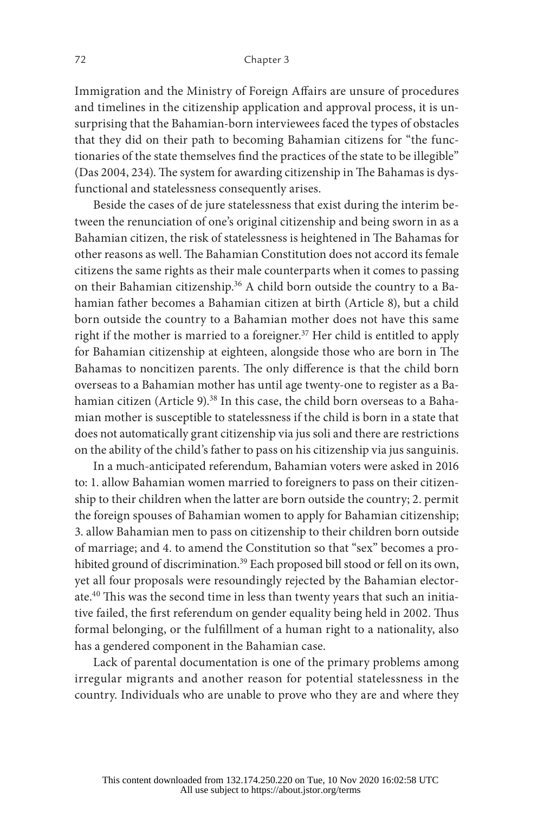Immigration and the Ministry of Foreign Affairs are unsure of procedures and timelines in the citizenship application and approval process, it is unsurprising that the Bahamian-born interviewees faced the types of obstacles that they did on their path to becoming Bahamian citizens for "the functionaries of the state themselves find the practices of the state to be illegible" (Das 2004, 234). The system for awarding citizenship in The Bahamas is dysfunctional and statelessness consequently arises.

Beside the cases of de jure statelessness that exist during the interim between the renunciation of one's original citizenship and being sworn in as a Bahamian citizen, the risk of statelessness is heightened in The Bahamas for other reasons as well. The Bahamian Constitution does not accord its female citizens the same rights as their male counterparts when it comes to passing on their Bahamian citizenship.36 A child born outside the country to a Bahamian father becomes a Bahamian citizen at birth (Article 8), but a child born outside the country to a Bahamian mother does not have this same right if the mother is married to a foreigner.<sup>37</sup> Her child is entitled to apply for Bahamian citizenship at eighteen, alongside those who are born in The Bahamas to noncitizen parents. The only difference is that the child born overseas to a Bahamian mother has until age twenty-one to register as a Bahamian citizen (Article 9).<sup>38</sup> In this case, the child born overseas to a Bahamian mother is susceptible to statelessness if the child is born in a state that does not automatically grant citizenship via jus soli and there are restrictions on the ability of the child's father to pass on his citizenship via jus sanguinis.

In a much-anticipated referendum, Bahamian voters were asked in 2016 to: 1. allow Bahamian women married to foreigners to pass on their citizenship to their children when the latter are born outside the country; 2. permit the foreign spouses of Bahamian women to apply for Bahamian citizenship; 3. allow Bahamian men to pass on citizenship to their children born outside of marriage; and 4. to amend the Constitution so that "sex" becomes a prohibited ground of discrimination.<sup>39</sup> Each proposed bill stood or fell on its own, yet all four proposals were resoundingly rejected by the Bahamian electorate.<sup>40</sup> This was the second time in less than twenty years that such an initiative failed, the first referendum on gender equality being held in 2002. Thus formal belonging, or the fulfillment of a human right to a nationality, also has a gendered component in the Bahamian case.

Lack of parental documentation is one of the primary problems among irregular migrants and another reason for potential statelessness in the country. Individuals who are unable to prove who they are and where they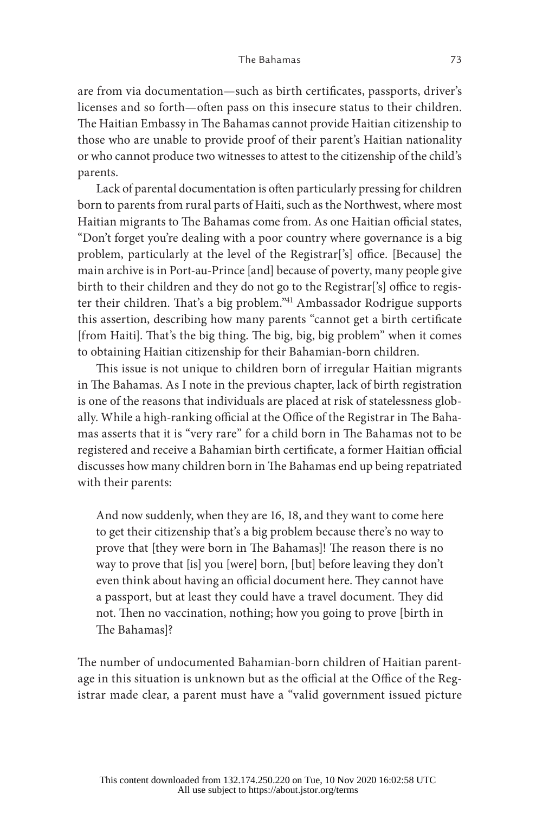are from via documentation—such as birth certificates, passports, driver's licenses and so forth—often pass on this insecure status to their children. The Haitian Embassy in The Bahamas cannot provide Haitian citizenship to those who are unable to provide proof of their parent's Haitian nationality or who cannot produce two witnesses to attest to the citizenship of the child's parents.

Lack of parental documentation is often particularly pressing for children born to parents from rural parts of Haiti, such as the Northwest, where most Haitian migrants to The Bahamas come from. As one Haitian official states, "Don't forget you're dealing with a poor country where governance is a big problem, particularly at the level of the Registrar['s] office. [Because] the main archive is in Port-au-Prince [and] because of poverty, many people give birth to their children and they do not go to the Registrar<sup>['s]</sup> office to register their children. That's a big problem."<sup>41</sup> Ambassador Rodrigue supports this assertion, describing how many parents "cannot get a birth certificate [from Haiti]. That's the big thing. The big, big, big problem" when it comes to obtaining Haitian citizenship for their Bahamian-born children.

This issue is not unique to children born of irregular Haitian migrants in The Bahamas. As I note in the previous chapter, lack of birth registration is one of the reasons that individuals are placed at risk of statelessness globally. While a high-ranking official at the Office of the Registrar in The Bahamas asserts that it is "very rare" for a child born in The Bahamas not to be registered and receive a Bahamian birth certificate, a former Haitian official discusses how many children born in The Bahamas end up being repatriated with their parents:

And now suddenly, when they are 16, 18, and they want to come here to get their citizenship that's a big problem because there's no way to prove that [they were born in The Bahamas]! The reason there is no way to prove that [is] you [were] born, [but] before leaving they don't even think about having an official document here. They cannot have a passport, but at least they could have a travel document. They did not. Then no vaccination, nothing; how you going to prove [birth in The Bahamas]?

The number of undocumented Bahamian-born children of Haitian parentage in this situation is unknown but as the official at the Office of the Registrar made clear, a parent must have a "valid government issued picture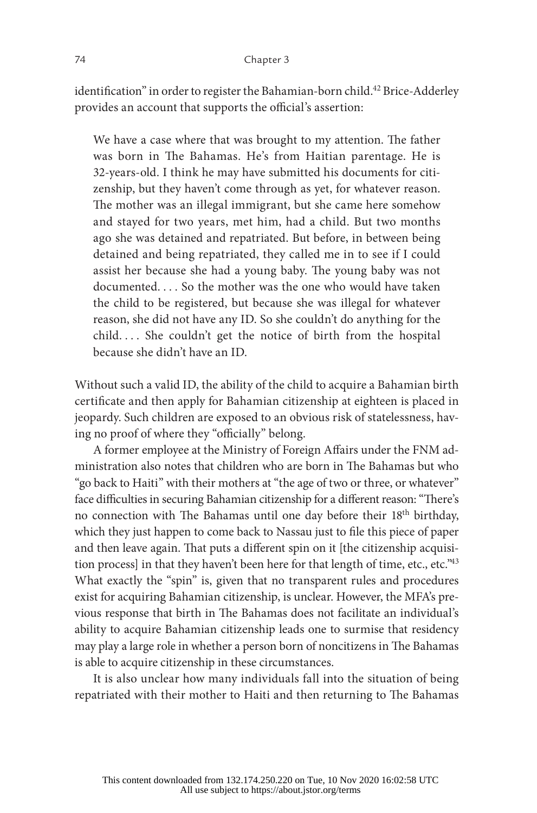identification" in order to register the Bahamian-born child.<sup>42</sup> Brice-Adderley provides an account that supports the official's assertion:

We have a case where that was brought to my attention. The father was born in The Bahamas. He's from Haitian parentage. He is 32-years-old. I think he may have submitted his documents for citizenship, but they haven't come through as yet, for whatever reason. The mother was an illegal immigrant, but she came here somehow and stayed for two years, met him, had a child. But two months ago she was detained and repatriated. But before, in between being detained and being repatriated, they called me in to see if I could assist her because she had a young baby. The young baby was not documented. . . . So the mother was the one who would have taken the child to be registered, but because she was illegal for whatever reason, she did not have any ID. So she couldn't do anything for the child.... She couldn't get the notice of birth from the hospital because she didn't have an ID.

Without such a valid ID, the ability of the child to acquire a Bahamian birth certificate and then apply for Bahamian citizenship at eighteen is placed in jeopardy. Such children are exposed to an obvious risk of statelessness, having no proof of where they "officially" belong.

A former employee at the Ministry of Foreign Affairs under the FNM administration also notes that children who are born in The Bahamas but who "go back to Haiti" with their mothers at "the age of two or three, or whatever" face difficulties in securing Bahamian citizenship for a different reason: "There's no connection with The Bahamas until one day before their 18th birthday, which they just happen to come back to Nassau just to file this piece of paper and then leave again. That puts a different spin on it [the citizenship acquisition process] in that they haven't been here for that length of time, etc., etc."43 What exactly the "spin" is, given that no transparent rules and procedures exist for acquiring Bahamian citizenship, is unclear. However, the MFA's previous response that birth in The Bahamas does not facilitate an individual's ability to acquire Bahamian citizenship leads one to surmise that residency may play a large role in whether a person born of noncitizens in The Bahamas is able to acquire citizenship in these circumstances.

It is also unclear how many individuals fall into the situation of being repatriated with their mother to Haiti and then returning to The Bahamas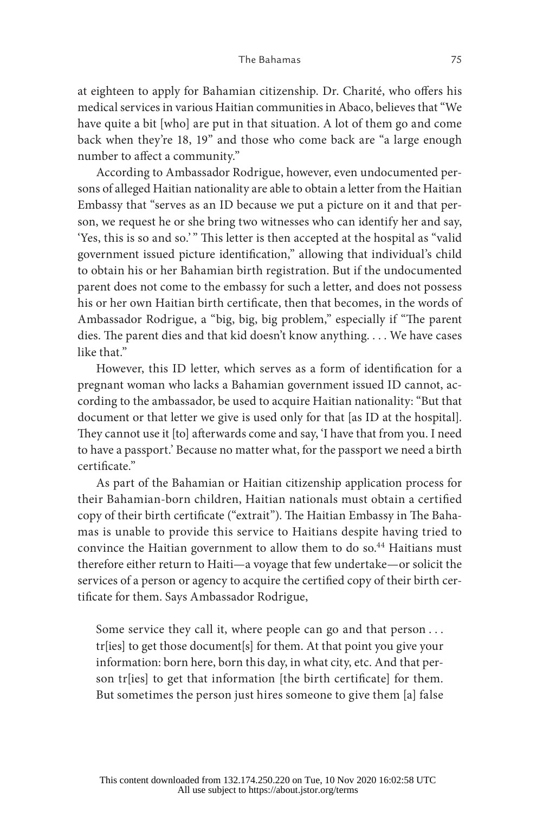at eighteen to apply for Bahamian citizenship. Dr. Charité, who offers his medical services in various Haitian communities in Abaco, believes that "We have quite a bit [who] are put in that situation. A lot of them go and come back when they're 18, 19" and those who come back are "a large enough number to affect a community."

According to Ambassador Rodrigue, however, even undocumented persons of alleged Haitian nationality are able to obtain a letter from the Haitian Embassy that "serves as an ID because we put a picture on it and that person, we request he or she bring two witnesses who can identify her and say, 'Yes, this is so and so.'" This letter is then accepted at the hospital as "valid government issued picture identification," allowing that individual's child to obtain his or her Bahamian birth registration. But if the undocumented parent does not come to the embassy for such a letter, and does not possess his or her own Haitian birth certificate, then that becomes, in the words of Ambassador Rodrigue, a "big, big, big problem," especially if "The parent dies. The parent dies and that kid doesn't know anything. . . . We have cases like that."

However, this ID letter, which serves as a form of identification for a pregnant woman who lacks a Bahamian government issued ID cannot, according to the ambassador, be used to acquire Haitian nationality: "But that document or that letter we give is used only for that [as ID at the hospital]. They cannot use it [to] afterwards come and say, 'I have that from you. I need to have a passport.' Because no matter what, for the passport we need a birth certificate."

As part of the Bahamian or Haitian citizenship application process for their Bahamian-born children, Haitian nationals must obtain a certified copy of their birth certificate ("extrait"). The Haitian Embassy in The Bahamas is unable to provide this service to Haitians despite having tried to convince the Haitian government to allow them to do so.<sup>44</sup> Haitians must therefore either return to Haiti—a voyage that few undertake—or solicit the services of a person or agency to acquire the certified copy of their birth certificate for them. Says Ambassador Rodrigue,

Some service they call it, where people can go and that person . . . tr[ies] to get those document[s] for them. At that point you give your information: born here, born this day, in what city, etc. And that person tr[ies] to get that information [the birth certificate] for them. But sometimes the person just hires someone to give them [a] false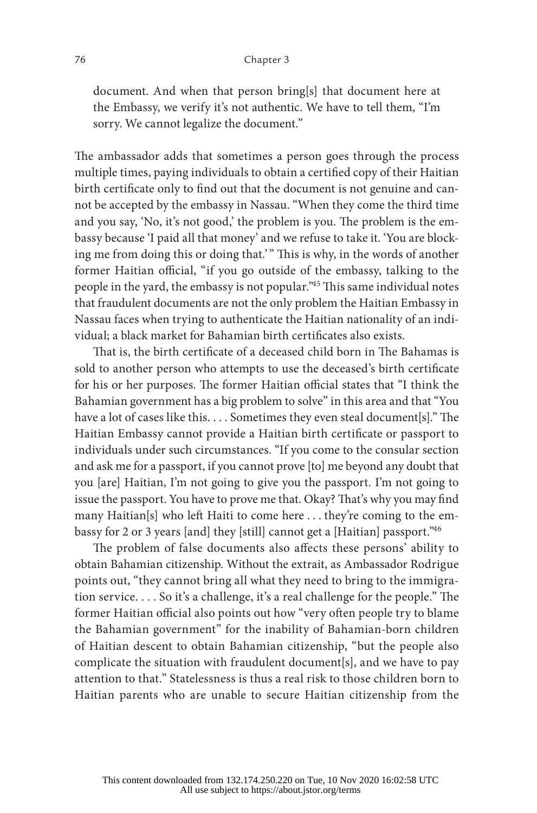document. And when that person bring[s] that document here at the Embassy, we verify it's not authentic. We have to tell them, "I'm sorry. We cannot legalize the document."

The ambassador adds that sometimes a person goes through the process multiple times, paying individuals to obtain a certified copy of their Haitian birth certificate only to find out that the document is not genuine and cannot be accepted by the embassy in Nassau. "When they come the third time and you say, 'No, it's not good,' the problem is you. The problem is the embassy because 'I paid all that money' and we refuse to take it. 'You are blocking me from doing this or doing that.'" This is why, in the words of another former Haitian official, "if you go outside of the embassy, talking to the people in the yard, the embassy is not popular."45 This same individual notes that fraudulent documents are not the only problem the Haitian Embassy in Nassau faces when trying to authenticate the Haitian nationality of an individual; a black market for Bahamian birth certificates also exists.

That is, the birth certificate of a deceased child born in The Bahamas is sold to another person who attempts to use the deceased's birth certificate for his or her purposes. The former Haitian official states that "I think the Bahamian government has a big problem to solve" in this area and that "You have a lot of cases like this. . . . Sometimes they even steal document[s]." The Haitian Embassy cannot provide a Haitian birth certificate or passport to individuals under such circumstances. "If you come to the consular section and ask me for a passport, if you cannot prove [to] me beyond any doubt that you [are] Haitian, I'm not going to give you the passport. I'm not going to issue the passport. You have to prove me that. Okay? That's why you may find many Haitian[s] who left Haiti to come here . . . they're coming to the embassy for 2 or 3 years [and] they [still] cannot get a [Haitian] passport."46

The problem of false documents also affects these persons' ability to obtain Bahamian citizenship. Without the extrait, as Ambassador Rodrigue points out, "they cannot bring all what they need to bring to the immigration service. . . . So it's a challenge, it's a real challenge for the people." The former Haitian official also points out how "very often people try to blame the Bahamian government" for the inability of Bahamian-born children of Haitian descent to obtain Bahamian citizenship, "but the people also complicate the situation with fraudulent document[s], and we have to pay attention to that." Statelessness is thus a real risk to those children born to Haitian parents who are unable to secure Haitian citizenship from the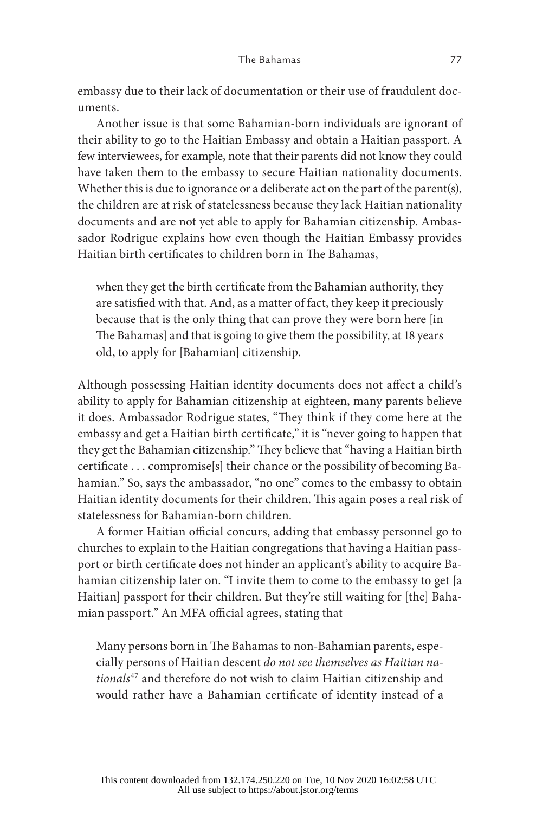embassy due to their lack of documentation or their use of fraudulent documents.

Another issue is that some Bahamian-born individuals are ignorant of their ability to go to the Haitian Embassy and obtain a Haitian passport. A few interviewees, for example, note that their parents did not know they could have taken them to the embassy to secure Haitian nationality documents. Whether this is due to ignorance or a deliberate act on the part of the parent(s), the children are at risk of statelessness because they lack Haitian nationality documents and are not yet able to apply for Bahamian citizenship. Ambassador Rodrigue explains how even though the Haitian Embassy provides Haitian birth certificates to children born in The Bahamas,

when they get the birth certificate from the Bahamian authority, they are satisfied with that. And, as a matter of fact, they keep it preciously because that is the only thing that can prove they were born here [in The Bahamas] and that is going to give them the possibility, at 18 years old, to apply for [Bahamian] citizenship.

Although possessing Haitian identity documents does not affect a child's ability to apply for Bahamian citizenship at eighteen, many parents believe it does. Ambassador Rodrigue states, "They think if they come here at the embassy and get a Haitian birth certificate," it is "never going to happen that they get the Bahamian citizenship." They believe that "having a Haitian birth certificate . . . compromise[s] their chance or the possibility of becoming Bahamian." So, says the ambassador, "no one" comes to the embassy to obtain Haitian identity documents for their children. This again poses a real risk of statelessness for Bahamian-born children.

A former Haitian official concurs, adding that embassy personnel go to churches to explain to the Haitian congregations that having a Haitian passport or birth certificate does not hinder an applicant's ability to acquire Bahamian citizenship later on. "I invite them to come to the embassy to get [a Haitian] passport for their children. But they're still waiting for [the] Bahamian passport." An MFA official agrees, stating that

Many persons born in The Bahamas to non-Bahamian parents, especially persons of Haitian descent *do not see themselves as Haitian nationals*47 and therefore do not wish to claim Haitian citizenship and would rather have a Bahamian certificate of identity instead of a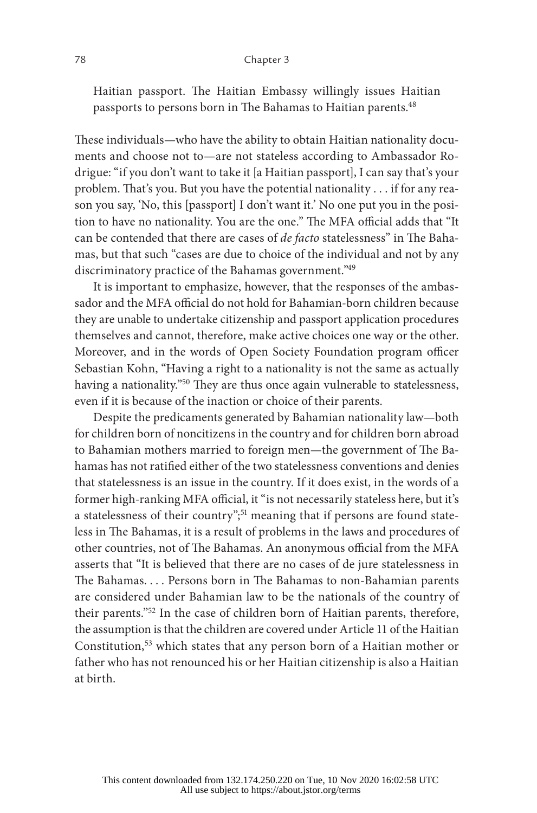Haitian passport. The Haitian Embassy willingly issues Haitian passports to persons born in The Bahamas to Haitian parents.<sup>48</sup>

These individuals—who have the ability to obtain Haitian nationality documents and choose not to—are not stateless according to Ambassador Rodrigue: "if you don't want to take it [a Haitian passport], I can say that's your problem. That's you. But you have the potential nationality . . . if for any reason you say, 'No, this [passport] I don't want it.' No one put you in the position to have no nationality. You are the one." The MFA official adds that "It can be contended that there are cases of *de facto* statelessness" in The Bahamas, but that such "cases are due to choice of the individual and not by any discriminatory practice of the Bahamas government."<sup>49</sup>

It is important to emphasize, however, that the responses of the ambassador and the MFA official do not hold for Bahamian-born children because they are unable to undertake citizenship and passport application procedures themselves and cannot, therefore, make active choices one way or the other. Moreover, and in the words of Open Society Foundation program officer Sebastian Kohn, "Having a right to a nationality is not the same as actually having a nationality."<sup>50</sup> They are thus once again vulnerable to statelessness, even if it is because of the inaction or choice of their parents.

Despite the predicaments generated by Bahamian nationality law—both for children born of noncitizens in the country and for children born abroad to Bahamian mothers married to foreign men—the government of The Bahamas has not ratified either of the two statelessness conventions and denies that statelessness is an issue in the country. If it does exist, in the words of a former high-ranking MFA official, it "is not necessarily stateless here, but it's a statelessness of their country";<sup>51</sup> meaning that if persons are found stateless in The Bahamas, it is a result of problems in the laws and procedures of other countries, not of The Bahamas. An anonymous official from the MFA asserts that "It is believed that there are no cases of de jure statelessness in The Bahamas. . . . Persons born in The Bahamas to non-Bahamian parents are considered under Bahamian law to be the nationals of the country of their parents."52 In the case of children born of Haitian parents, therefore, the assumption is that the children are covered under Article 11 of the Haitian Constitution,53 which states that any person born of a Haitian mother or father who has not renounced his or her Haitian citizenship is also a Haitian at birth.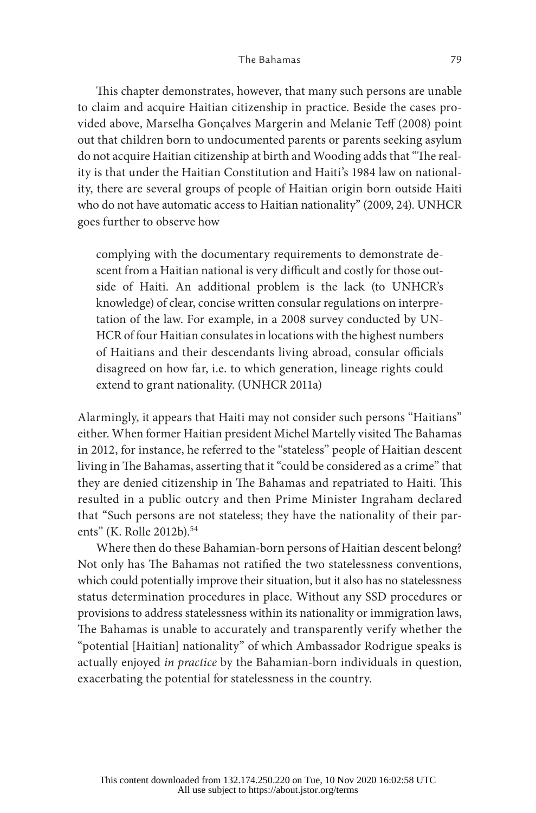#### The Bahamas 79

This chapter demonstrates, however, that many such persons are unable to claim and acquire Haitian citizenship in practice. Beside the cases provided above, Marselha Gonçalves Margerin and Melanie Teff (2008) point out that children born to undocumented parents or parents seeking asylum do not acquire Haitian citizenship at birth and Wooding adds that "The reality is that under the Haitian Constitution and Haiti's 1984 law on nationality, there are several groups of people of Haitian origin born outside Haiti who do not have automatic access to Haitian nationality" (2009, 24). UNHCR goes further to observe how

complying with the documentary requirements to demonstrate descent from a Haitian national is very difficult and costly for those outside of Haiti. An additional problem is the lack (to UNHCR's knowledge) of clear, concise written consular regulations on interpretation of the law. For example, in a 2008 survey conducted by UN-HCR of four Haitian consulates in locations with the highest numbers of Haitians and their descendants living abroad, consular officials disagreed on how far, i.e. to which generation, lineage rights could extend to grant nationality. (UNHCR 2011a)

Alarmingly, it appears that Haiti may not consider such persons "Haitians" either. When former Haitian president Michel Martelly visited The Bahamas in 2012, for instance, he referred to the "stateless" people of Haitian descent living in The Bahamas, asserting that it "could be considered as a crime" that they are denied citizenship in The Bahamas and repatriated to Haiti. This resulted in a public outcry and then Prime Minister Ingraham declared that "Such persons are not stateless; they have the nationality of their parents" (K. Rolle 2012b).54

Where then do these Bahamian-born persons of Haitian descent belong? Not only has The Bahamas not ratified the two statelessness conventions, which could potentially improve their situation, but it also has no statelessness status determination procedures in place. Without any SSD procedures or provisions to address statelessness within its nationality or immigration laws, The Bahamas is unable to accurately and transparently verify whether the "potential [Haitian] nationality" of which Ambassador Rodrigue speaks is actually enjoyed *in practice* by the Bahamian-born individuals in question, exacerbating the potential for statelessness in the country.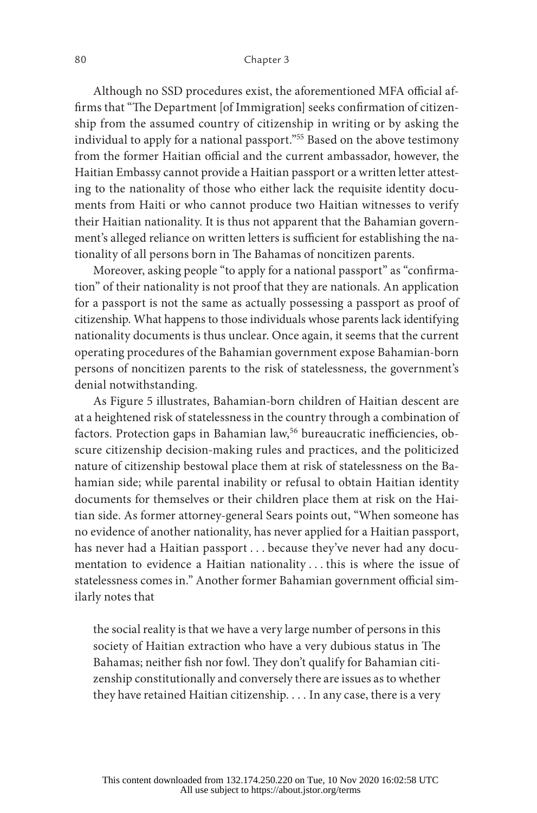Although no SSD procedures exist, the aforementioned MFA official affirms that "The Department [of Immigration] seeks confirmation of citizenship from the assumed country of citizenship in writing or by asking the individual to apply for a national passport."55 Based on the above testimony from the former Haitian official and the current ambassador, however, the Haitian Embassy cannot provide a Haitian passport or a written letter attesting to the nationality of those who either lack the requisite identity documents from Haiti or who cannot produce two Haitian witnesses to verify their Haitian nationality. It is thus not apparent that the Bahamian government's alleged reliance on written letters is sufficient for establishing the nationality of all persons born in The Bahamas of noncitizen parents.

Moreover, asking people "to apply for a national passport" as "confirmation" of their nationality is not proof that they are nationals. An application for a passport is not the same as actually possessing a passport as proof of citizenship. What happens to those individuals whose parents lack identifying nationality documents is thus unclear. Once again, it seems that the current operating procedures of the Bahamian government expose Bahamian-born persons of noncitizen parents to the risk of statelessness, the government's denial notwithstanding.

As Figure 5 illustrates, Bahamian-born children of Haitian descent are at a heightened risk of statelessness in the country through a combination of factors. Protection gaps in Bahamian law,<sup>56</sup> bureaucratic inefficiencies, obscure citizenship decision-making rules and practices, and the politicized nature of citizenship bestowal place them at risk of statelessness on the Bahamian side; while parental inability or refusal to obtain Haitian identity documents for themselves or their children place them at risk on the Haitian side. As former attorney-general Sears points out, "When someone has no evidence of another nationality, has never applied for a Haitian passport, has never had a Haitian passport . . . because they've never had any documentation to evidence a Haitian nationality . . . this is where the issue of statelessness comes in." Another former Bahamian government official similarly notes that

the social reality is that we have a very large number of persons in this society of Haitian extraction who have a very dubious status in The Bahamas; neither fish nor fowl. They don't qualify for Bahamian citizenship constitutionally and conversely there are issues as to whether they have retained Haitian citizenship. . . . In any case, there is a very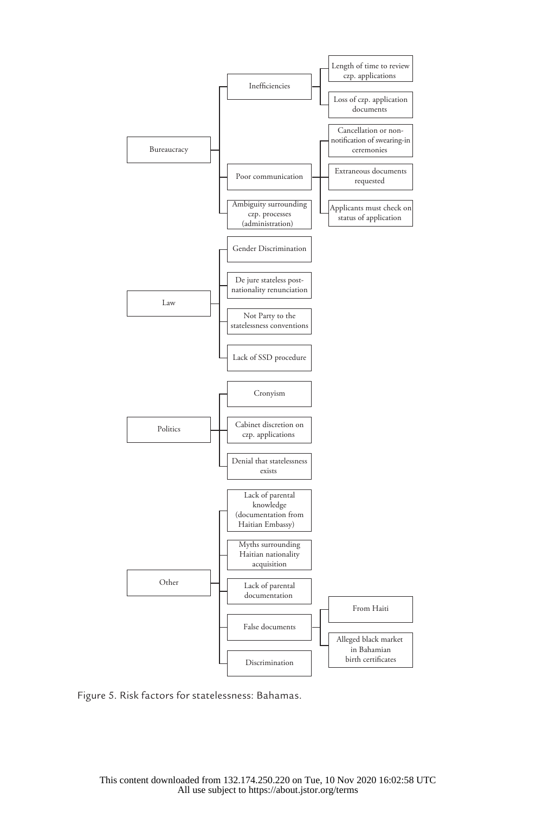

Figure 5. Risk factors for statelessness: Bahamas.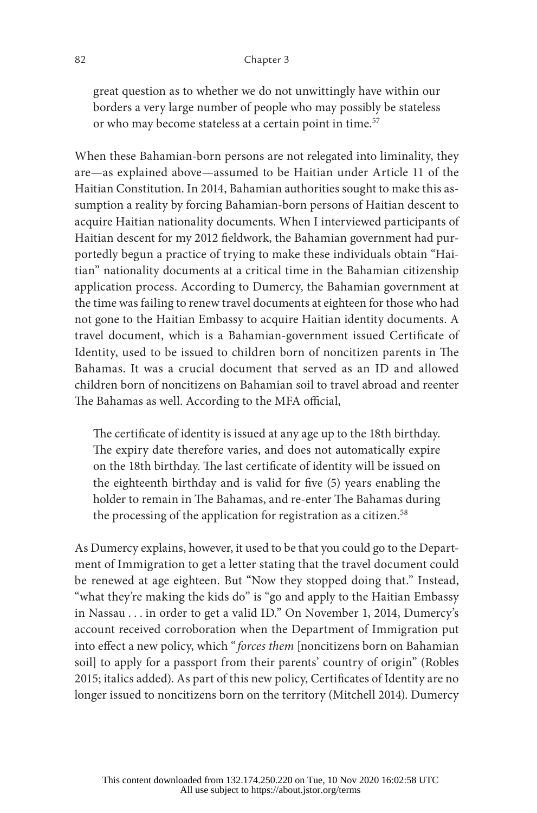great question as to whether we do not unwittingly have within our borders a very large number of people who may possibly be stateless or who may become stateless at a certain point in time.<sup>57</sup>

When these Bahamian-born persons are not relegated into liminality, they are—as explained above—assumed to be Haitian under Article 11 of the Haitian Constitution. In 2014, Bahamian authorities sought to make this assumption a reality by forcing Bahamian-born persons of Haitian descent to acquire Haitian nationality documents. When I interviewed participants of Haitian descent for my 2012 fieldwork, the Bahamian government had purportedly begun a practice of trying to make these individuals obtain "Haitian" nationality documents at a critical time in the Bahamian citizenship application process. According to Dumercy, the Bahamian government at the time was failing to renew travel documents at eighteen for those who had not gone to the Haitian Embassy to acquire Haitian identity documents. A travel document, which is a Bahamian-government issued Certificate of Identity, used to be issued to children born of noncitizen parents in The Bahamas. It was a crucial document that served as an ID and allowed children born of noncitizens on Bahamian soil to travel abroad and reenter The Bahamas as well. According to the MFA official,

The certificate of identity is issued at any age up to the 18th birthday. The expiry date therefore varies, and does not automatically expire on the 18th birthday. The last certificate of identity will be issued on the eighteenth birthday and is valid for five (5) years enabling the holder to remain in The Bahamas, and re-enter The Bahamas during the processing of the application for registration as a citizen.<sup>58</sup>

As Dumercy explains, however, it used to be that you could go to the Department of Immigration to get a letter stating that the travel document could be renewed at age eighteen. But "Now they stopped doing that." Instead, "what they're making the kids do" is "go and apply to the Haitian Embassy in Nassau . . . in order to get a valid ID." On November 1, 2014, Dumercy's account received corroboration when the Department of Immigration put into effect a new policy, which "*forces them* [noncitizens born on Bahamian soil] to apply for a passport from their parents' country of origin" (Robles 2015; italics added). As part of this new policy, Certificates of Identity are no longer issued to noncitizens born on the territory (Mitchell 2014). Dumercy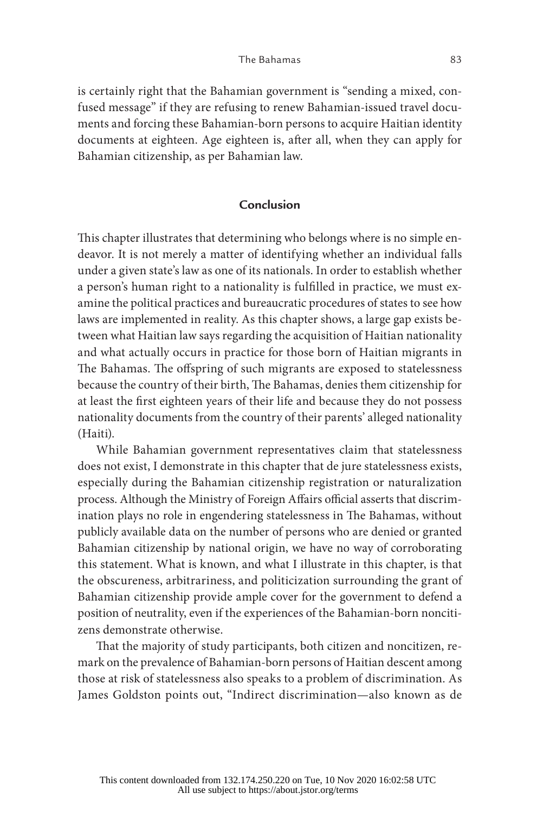is certainly right that the Bahamian government is "sending a mixed, confused message" if they are refusing to renew Bahamian-issued travel documents and forcing these Bahamian-born persons to acquire Haitian identity documents at eighteen. Age eighteen is, after all, when they can apply for Bahamian citizenship, as per Bahamian law.

# **Conclusion**

This chapter illustrates that determining who belongs where is no simple endeavor. It is not merely a matter of identifying whether an individual falls under a given state's law as one of its nationals. In order to establish whether a person's human right to a nationality is fulfilled in practice, we must examine the political practices and bureaucratic procedures of states to see how laws are implemented in reality. As this chapter shows, a large gap exists between what Haitian law says regarding the acquisition of Haitian nationality and what actually occurs in practice for those born of Haitian migrants in The Bahamas. The offspring of such migrants are exposed to statelessness because the country of their birth, The Bahamas, denies them citizenship for at least the first eighteen years of their life and because they do not possess nationality documents from the country of their parents' alleged nationality (Haiti).

While Bahamian government representatives claim that statelessness does not exist, I demonstrate in this chapter that de jure statelessness exists, especially during the Bahamian citizenship registration or naturalization process. Although the Ministry of Foreign Affairs official asserts that discrimination plays no role in engendering statelessness in The Bahamas, without publicly available data on the number of persons who are denied or granted Bahamian citizenship by national origin, we have no way of corroborating this statement. What is known, and what I illustrate in this chapter, is that the obscureness, arbitrariness, and politicization surrounding the grant of Bahamian citizenship provide ample cover for the government to defend a position of neutrality, even if the experiences of the Bahamian-born noncitizens demonstrate otherwise.

That the majority of study participants, both citizen and noncitizen, remark on the prevalence of Bahamian-born persons of Haitian descent among those at risk of statelessness also speaks to a problem of discrimination. As James Goldston points out, "Indirect discrimination—also known as de